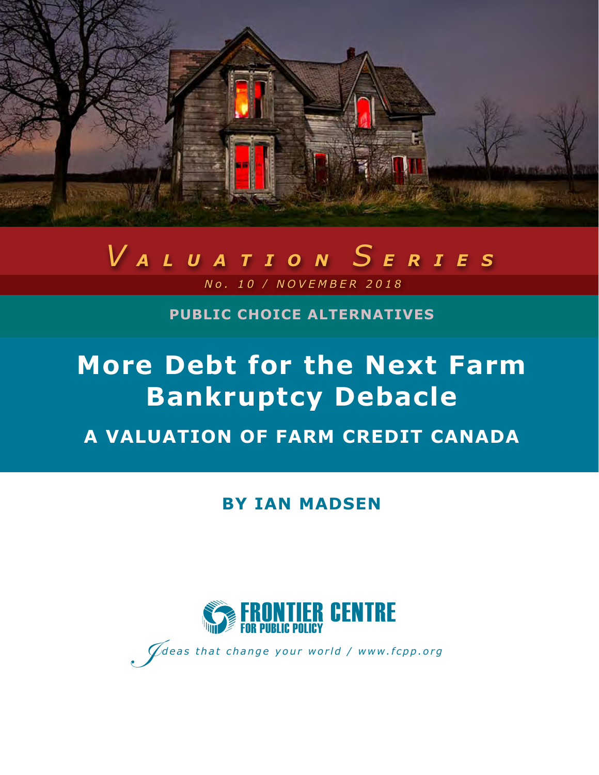

# *V ALUATION S ERIES*

 *No. 10 / NOVEMBER 2018*

**PUBLIC CHOICE ALTERNATIVES**

## **More Debt for the Next Farm Bankruptcy Debacle A VALUATION OF FARM CREDIT CANADA**

**BY IAN MADSEN** 



I*Ideas that change your world / www.fcpp.org*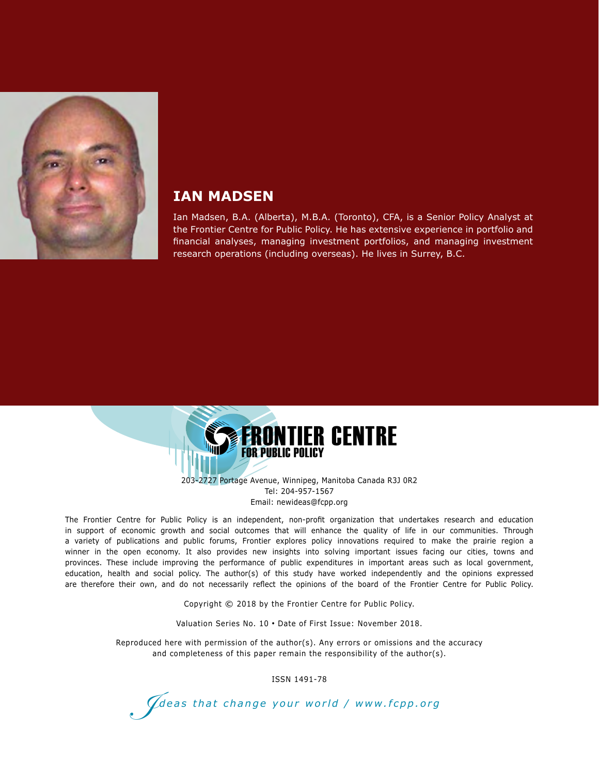

#### **IAN MADSEN**

Ian Madsen, B.A. (Alberta), M.B.A. (Toronto), CFA, is a Senior Policy Analyst at the Frontier Centre for Public Policy. He has extensive experience in portfolio and financial analyses, managing investment portfolios, and managing investment research operations (including overseas). He lives in Surrey, B.C.



203-2727 Portage Avenue, Winnipeg, Manitoba Canada R3J 0R2 Tel: 204-957-1567 Email: newideas@fcpp.org

The Frontier Centre for Public Policy is an independent, non-profit organization that undertakes research and education in support of economic growth and social outcomes that will enhance the quality of life in our communities. Through a variety of publications and public forums, Frontier explores policy innovations required to make the prairie region a winner in the open economy. It also provides new insights into solving important issues facing our cities, towns and provinces. These include improving the performance of public expenditures in important areas such as local government, education, health and social policy. The author(s) of this study have worked independently and the opinions expressed are therefore their own, and do not necessarily reflect the opinions of the board of the Frontier Centre for Public Policy.

Copyright © 2018 by the Frontier Centre for Public Policy.

Valuation Series No. 10 • Date of First Issue: November 2018.

Reproduced here with permission of the author(s). Any errors or omissions and the accuracy and completeness of this paper remain the responsibility of the author(s).

ISSN 1491-78

I*deas that change your world / www.fcpp.org*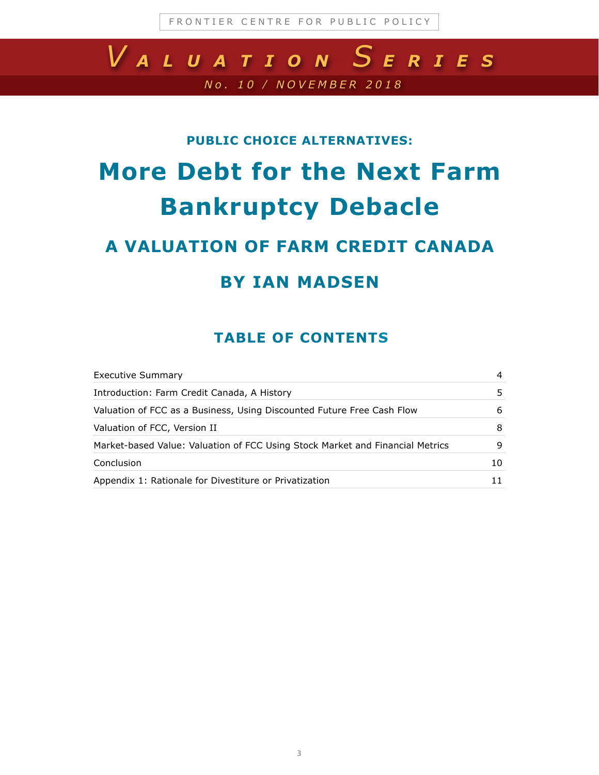## *No. 10 / NOVEMBER 2018 V ALUATION S ERIES*

#### **PUBLIC CHOICE ALTERNATIVES:**

## **More Debt for the Next Farm Bankruptcy Debacle**

### **A VALUATION OF FARM CREDIT CANADA**

### **BY IAN MADSEN**

#### **TABLE OF CONTENTS**

| Executive Summary                                                             | 4  |
|-------------------------------------------------------------------------------|----|
| Introduction: Farm Credit Canada, A History                                   | 5. |
| Valuation of FCC as a Business, Using Discounted Future Free Cash Flow        | 6  |
| Valuation of FCC, Version II                                                  | 8  |
| Market-based Value: Valuation of FCC Using Stock Market and Financial Metrics | 9  |
| Conclusion                                                                    | 10 |
| Appendix 1: Rationale for Divestiture or Privatization                        |    |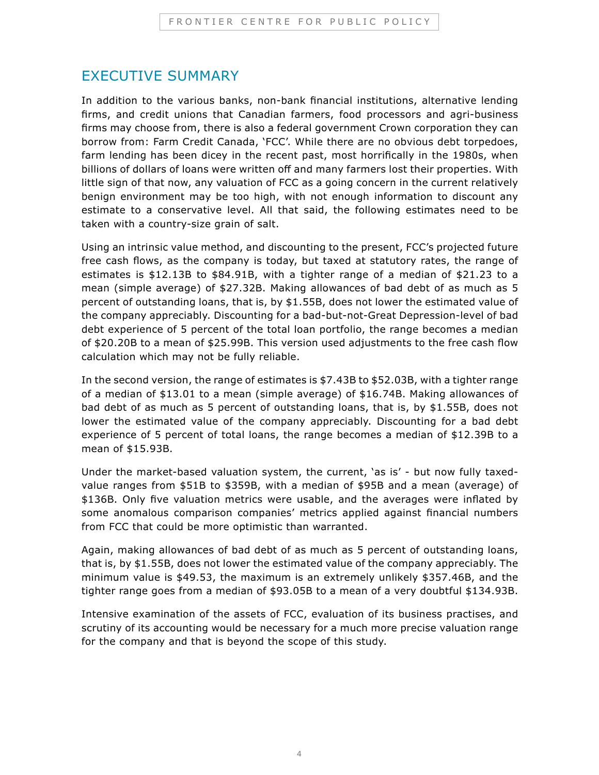#### EXECUTIVE SUMMARY

In addition to the various banks, non-bank financial institutions, alternative lending firms, and credit unions that Canadian farmers, food processors and agri-business firms may choose from, there is also a federal government Crown corporation they can borrow from: Farm Credit Canada, 'FCC'. While there are no obvious debt torpedoes, farm lending has been dicey in the recent past, most horrifically in the 1980s, when billions of dollars of loans were written off and many farmers lost their properties. With little sign of that now, any valuation of FCC as a going concern in the current relatively benign environment may be too high, with not enough information to discount any estimate to a conservative level. All that said, the following estimates need to be taken with a country-size grain of salt.

Using an intrinsic value method, and discounting to the present, FCC's projected future free cash flows, as the company is today, but taxed at statutory rates, the range of estimates is  $$12.13B$  to  $$84.91B$ , with a tighter range of a median of  $$21.23$  to a mean (simple average) of \$27.32B. Making allowances of bad debt of as much as 5 percent of outstanding loans, that is, by \$1.55B, does not lower the estimated value of the company appreciably. Discounting for a bad-but-not-Great Depression-level of bad debt experience of 5 percent of the total loan portfolio, the range becomes a median of \$20.20B to a mean of \$25.99B. This version used adjustments to the free cash flow calculation which may not be fully reliable.

In the second version, the range of estimates is \$7.43B to \$52.03B, with a tighter range of a median of \$13.01 to a mean (simple average) of \$16.74B. Making allowances of bad debt of as much as 5 percent of outstanding loans, that is, by \$1.55B, does not lower the estimated value of the company appreciably. Discounting for a bad debt experience of 5 percent of total loans, the range becomes a median of \$12.39B to a mean of \$15.93B.

Under the market-based valuation system, the current, 'as is' - but now fully taxedvalue ranges from \$51B to \$359B, with a median of \$95B and a mean (average) of \$136B. Only five valuation metrics were usable, and the averages were inflated by some anomalous comparison companies' metrics applied against financial numbers from FCC that could be more optimistic than warranted.

Again, making allowances of bad debt of as much as 5 percent of outstanding loans, that is, by \$1.55B, does not lower the estimated value of the company appreciably. The minimum value is \$49.53, the maximum is an extremely unlikely \$357.46B, and the tighter range goes from a median of \$93.05B to a mean of a very doubtful \$134.93B.

Intensive examination of the assets of FCC, evaluation of its business practises, and scrutiny of its accounting would be necessary for a much more precise valuation range for the company and that is beyond the scope of this study.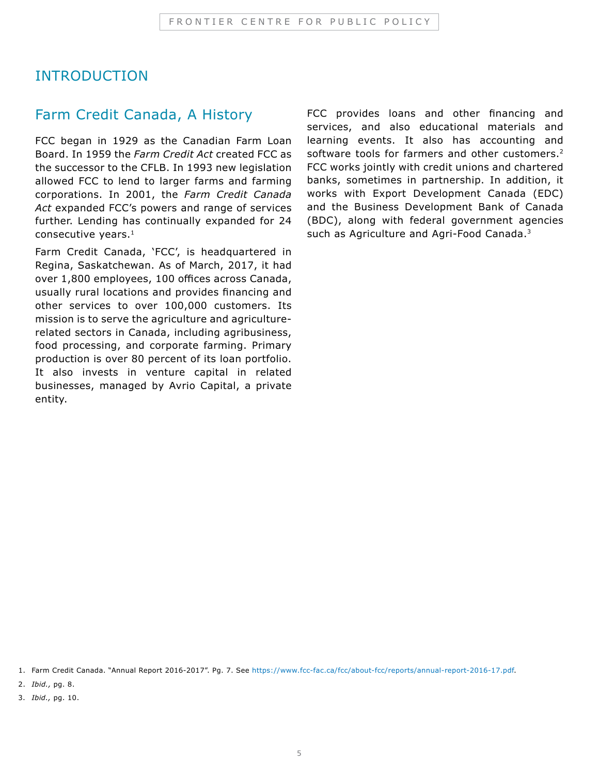#### INTRODUCTION

#### Farm Credit Canada, A History

FCC began in 1929 as the Canadian Farm Loan Board. In 1959 the *Farm Credit Act* created FCC as the successor to the CFLB. In 1993 new legislation allowed FCC to lend to larger farms and farming corporations. In 2001, the *Farm Credit Canada Act* expanded FCC's powers and range of services further. Lending has continually expanded for 24 consecutive years.<sup>1</sup>

Farm Credit Canada, 'FCC', is headquartered in Regina, Saskatchewan. As of March, 2017, it had over 1,800 employees, 100 offices across Canada, usually rural locations and provides financing and other services to over 100,000 customers. Its mission is to serve the agriculture and agriculturerelated sectors in Canada, including agribusiness, food processing, and corporate farming. Primary production is over 80 percent of its loan portfolio. It also invests in venture capital in related businesses, managed by Avrio Capital, a private entity.

FCC provides loans and other financing and services, and also educational materials and learning events. It also has accounting and software tools for farmers and other customers.<sup>2</sup> FCC works jointly with credit unions and chartered banks, sometimes in partnership. In addition, it works with Export Development Canada (EDC) and the Business Development Bank of Canada (BDC), along with federal government agencies such as Agriculture and Agri-Food Canada.<sup>3</sup>

1. Farm Credit Canada. "Annual Report 2016-2017". Pg. 7. See <https://www.fcc-fac.ca/fcc/about-fcc/reports/annual-report-2016-17.pdf>.

2. *Ibid.,* pg. 8.

3. *Ibid.,* pg. 10.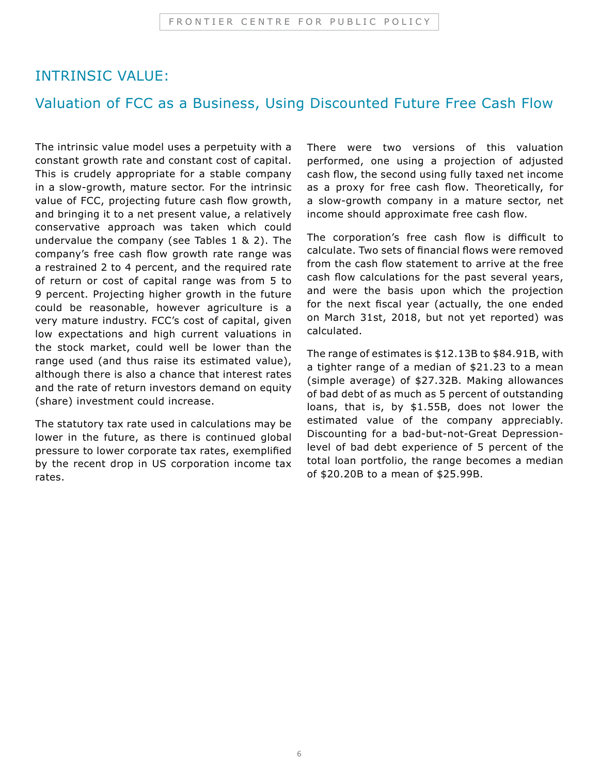#### INTRINSIC VALUE:

#### Valuation of FCC as a Business, Using Discounted Future Free Cash Flow

The intrinsic value model uses a perpetuity with a constant growth rate and constant cost of capital. This is crudely appropriate for a stable company in a slow-growth, mature sector. For the intrinsic value of FCC, projecting future cash flow growth, and bringing it to a net present value, a relatively conservative approach was taken which could undervalue the company (see Tables 1 & 2). The company's free cash flow growth rate range was a restrained 2 to 4 percent, and the required rate of return or cost of capital range was from 5 to 9 percent. Projecting higher growth in the future could be reasonable, however agriculture is a very mature industry. FCC's cost of capital, given low expectations and high current valuations in the stock market, could well be lower than the range used (and thus raise its estimated value), although there is also a chance that interest rates and the rate of return investors demand on equity (share) investment could increase.

The statutory tax rate used in calculations may be lower in the future, as there is continued global pressure to lower corporate tax rates, exemplified by the recent drop in US corporation income tax rates.

There were two versions of this valuation performed, one using a projection of adjusted cash flow, the second using fully taxed net income as a proxy for free cash flow. Theoretically, for a slow-growth company in a mature sector, net income should approximate free cash flow.

The corporation's free cash flow is difficult to calculate. Two sets of financial flows were removed from the cash flow statement to arrive at the free cash flow calculations for the past several years, and were the basis upon which the projection for the next fiscal year (actually, the one ended on March 31st, 2018, but not yet reported) was calculated.

The range of estimates is \$12.13B to \$84.91B, with a tighter range of a median of \$21.23 to a mean (simple average) of \$27.32B. Making allowances of bad debt of as much as 5 percent of outstanding loans, that is, by \$1.55B, does not lower the estimated value of the company appreciably. Discounting for a bad-but-not-Great Depressionlevel of bad debt experience of 5 percent of the total loan portfolio, the range becomes a median of \$20.20B to a mean of \$25.99B.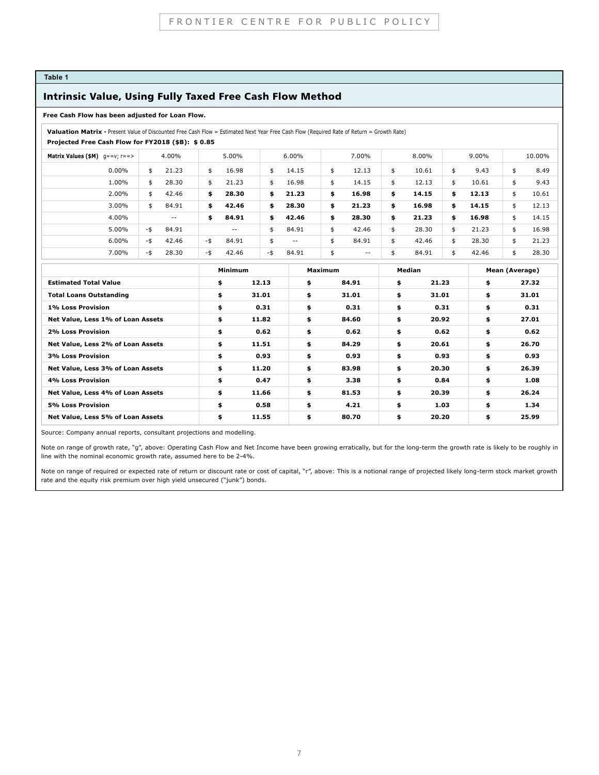#### **Table 1**

#### Intrinsic Value, Using Fully Taxed Free Cash Flow Method

#### **Free Cash Flow has been adjusted for Loan Flow.**

 **Valuation Matrix -** Present Value of Discounted Free Cash Flow = Estimated Next Year Free Cash Flow (Required Rate of Return = Growth Rate)

 **Projected Free Cash Flow for FY2018 (\$B): \$ 0.85**

| <b>Matrix Values (\$M)</b> $g = -v$ ; $r = -5$ | 4.00%        | 5.00%                    | 6.00%        | 7.00%       | 8.00%       | $9.00\%$    | 10.00%      |
|------------------------------------------------|--------------|--------------------------|--------------|-------------|-------------|-------------|-------------|
| $0.00\%$                                       | 21.23        | 16.98                    | 14.15        | 12.13       | 10.61       | 9.43        | 8.49        |
|                                                | \$           | \$                       | \$           | \$          | \$          | \$          | \$          |
| 1.00%                                          | 28.30        | 21.23                    | 16.98        | 14.15       | 12.13       | 10.61       | 9.43        |
|                                                | \$.          | \$                       | \$           | \$          | \$          | \$          | \$          |
| 2.00%                                          | 42.46        | 28.30                    | 21.23        | 16.98       | 14.15       | 12.13       | 10.61       |
|                                                | \$           | \$                       | \$           | \$          | \$          | \$          | \$          |
| 3.00%                                          | 84.91        | 42.46                    | 28.30        | 21.23       | 16.98       | 14.15       | 12.13       |
|                                                | \$           | \$                       | \$           | \$          | \$          | \$          | \$          |
| 4.00%                                          | $ -$         | 84.91<br>\$              | \$<br>42.46  | 28.30<br>\$ | 21.23<br>\$ | 16.98<br>\$ | 14.15<br>\$ |
| 5.00%                                          | 84.91<br>-\$ | $\overline{\phantom{m}}$ | 84.91<br>\$  | 42.46<br>\$ | 28.30<br>\$ | 21.23<br>\$ | 16.98<br>\$ |
| 6.00%                                          | 42.46        | -\$                      | \$           | 84.91       | 42.46       | 28.30       | 21.23       |
|                                                | -\$          | 84.91                    | $ -$         | \$          | \$          | \$          | \$          |
| 7.00%                                          | 28.30<br>-\$ | 42.46<br>-\$             | 84.91<br>-\$ | \$<br>$- -$ | 84.91       | 42.46<br>\$ | 28.30<br>\$ |

|                                   | Minimum |       | <b>Maximum</b> |       | Median |       | Mean (Average) |       |
|-----------------------------------|---------|-------|----------------|-------|--------|-------|----------------|-------|
| <b>Estimated Total Value</b>      | \$      | 12.13 | \$             | 84.91 | \$     | 21.23 | \$             | 27.32 |
| <b>Total Loans Outstanding</b>    | \$      | 31.01 | \$             | 31.01 | \$     | 31.01 | \$             | 31.01 |
| 1% Loss Provision                 | \$      | 0.31  | \$             | 0.31  | \$     | 0.31  | \$             | 0.31  |
| Net Value, Less 1% of Loan Assets | \$      | 11.82 | \$             | 84.60 | \$     | 20.92 | \$             | 27.01 |
| 2% Loss Provision                 | \$      | 0.62  | \$             | 0.62  | \$     | 0.62  | \$             | 0.62  |
| Net Value, Less 2% of Loan Assets | \$      | 11.51 | \$             | 84.29 | \$     | 20.61 | \$             | 26.70 |
| 3% Loss Provision                 | \$      | 0.93  | \$             | 0.93  | \$     | 0.93  | \$             | 0.93  |
| Net Value, Less 3% of Loan Assets | \$      | 11.20 | \$             | 83.98 | \$     | 20.30 | \$             | 26.39 |
| 4% Loss Provision                 | \$      | 0.47  | \$             | 3.38  | \$     | 0.84  | \$             | 1.08  |
| Net Value, Less 4% of Loan Assets | \$      | 11.66 | \$             | 81.53 | \$     | 20.39 | \$             | 26.24 |
| 5% Loss Provision                 | \$      | 0.58  | \$             | 4.21  | \$     | 1.03  | \$             | 1.34  |
| Net Value, Less 5% of Loan Assets | \$      | 11.55 | \$             | 80.70 | \$     | 20.20 | \$             | 25.99 |

Source: Company annual reports, consultant projections and modelling.

Note on range of growth rate, "g", above: Operating Cash Flow and Net Income have been growing erratically, but for the long-term the growth rate is likely to be roughly in line with the nominal economic growth rate, assumed here to be 2-4%.

Note on range of required or expected rate of return or discount rate or cost of capital, "r", above: This is a notional range of projected likely long-term stock market growth rate and the equity risk premium over high yield unsecured ("junk") bonds.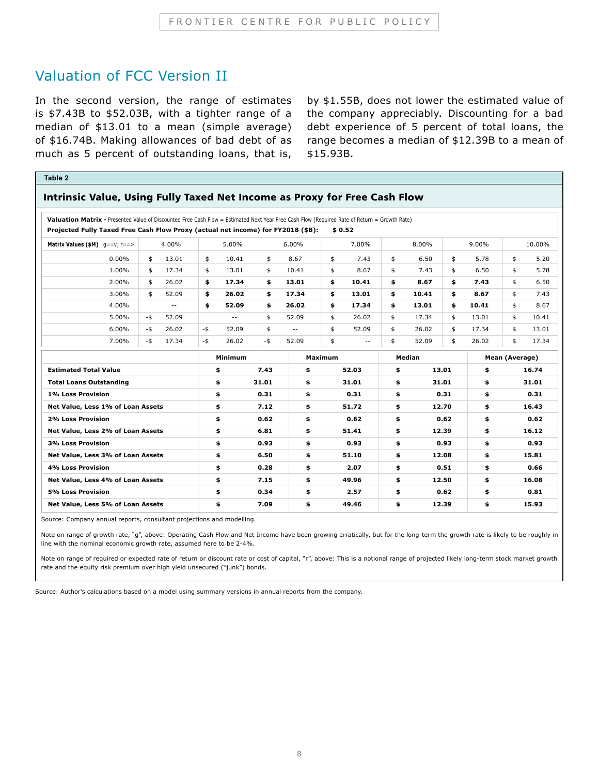#### Valuation of FCC Version II

In the second version, the range of estimates is \$7.43B to \$52.03B, with a tighter range of a median of \$13.01 to a mean (simple average) of \$16.74B. Making allowances of bad debt of as much as 5 percent of outstanding loans, that is,

by \$1.55B, does not lower the estimated value of the company appreciably. Discounting for a bad debt experience of 5 percent of total loans, the range becomes a median of \$12.39B to a mean of \$15.93B.

| Table 2                                                                                                                                                                                                                          |          |               |          |                |          |            |                |                          |          |        |          |       |                |        |
|----------------------------------------------------------------------------------------------------------------------------------------------------------------------------------------------------------------------------------|----------|---------------|----------|----------------|----------|------------|----------------|--------------------------|----------|--------|----------|-------|----------------|--------|
| Intrinsic Value, Using Fully Taxed Net Income as Proxy for Free Cash Flow                                                                                                                                                        |          |               |          |                |          |            |                |                          |          |        |          |       |                |        |
|                                                                                                                                                                                                                                  |          |               |          |                |          |            |                |                          |          |        |          |       |                |        |
| Valuation Matrix - Presented Value of Discounted Free Cash Flow = Estimated Next Year Free Cash Flow (Required Rate of Return = Growth Rate)<br>Projected Fully Taxed Free Cash Flow Proxy (actual net income) for FY2018 (\$B): |          |               |          |                |          |            |                | \$0.52                   |          |        |          |       |                |        |
| Matrix Values $(\$M)$ q==v; r==>                                                                                                                                                                                                 |          | 4.00%         |          | 5.00%          |          | $6.00\%$   |                | 7.00%                    |          | 8.00%  |          | 9.00% |                | 10.00% |
| $0.00\%$                                                                                                                                                                                                                         |          | 13.01         |          | 10.41          |          | 8.67       |                | 7.43                     |          | 6.50   |          | 5.78  |                | 5.20   |
| 1.00%                                                                                                                                                                                                                            | \$<br>\$ | 17.34         | \$<br>\$ | 13.01          | \$<br>\$ | 10.41      | \$<br>\$       | 8.67                     | \$<br>\$ | 7.43   | \$<br>\$ | 6.50  | \$<br>\$       | 5.78   |
| 2.00%                                                                                                                                                                                                                            | \$       | 26.02         | \$       | 17.34          | \$       | 13.01      | \$             | 10.41                    | \$       | 8.67   | \$       | 7.43  | \$             | 6.50   |
| 3.00%                                                                                                                                                                                                                            | \$       | 52.09         | \$       | 26.02          | \$       | 17.34      | \$             | 13.01                    | \$       | 10.41  | \$       | 8.67  | \$             | 7.43   |
| 4.00%                                                                                                                                                                                                                            |          | $\sim$ $\sim$ | \$       | 52.09          | \$       | 26.02      | \$             | 17.34                    | \$       | 13.01  | \$       | 10.41 | \$             | 8.67   |
| 5.00%                                                                                                                                                                                                                            | -\$      | 52.09         |          | $\sim$ $\sim$  | \$       | 52.09      | \$             | 26.02                    | \$       | 17.34  | \$       | 13.01 | \$             | 10.41  |
| 6.00%                                                                                                                                                                                                                            | -\$      | 26.02         | $-$ \$   | 52.09          | \$       | $\sim$ $-$ | \$             | 52.09                    | \$       | 26.02  | \$       | 17.34 | \$             | 13.01  |
| 7.00%                                                                                                                                                                                                                            | $-$ \$   | 17.34         | -\$      | 26.02          | -\$      | 52.09      | \$             | $\overline{\phantom{m}}$ | \$       | 52.09  | \$       | 26.02 | \$             | 17.34  |
|                                                                                                                                                                                                                                  |          |               |          | <b>Minimum</b> |          |            | <b>Maximum</b> |                          |          | Median |          |       | Mean (Average) |        |
| <b>Estimated Total Value</b>                                                                                                                                                                                                     |          |               |          | \$             | 7.43     | \$         |                | 52.03                    | \$       |        | 13.01    | \$    |                | 16.74  |
| <b>Total Loans Outstanding</b>                                                                                                                                                                                                   |          |               |          | \$             | 31.01    | \$         |                | 31.01                    | \$       |        | 31.01    | \$    |                | 31.01  |
| 1% Loss Provision                                                                                                                                                                                                                |          |               |          | \$             | 0.31     | \$         |                | 0.31                     | \$       |        | 0.31     | \$    |                | 0.31   |
| Net Value, Less 1% of Loan Assets                                                                                                                                                                                                |          |               |          | \$             | 7.12     | \$         |                | 51.72                    | \$       |        | 12.70    | \$    |                | 16.43  |
| 2% Loss Provision                                                                                                                                                                                                                |          |               |          | \$             | 0.62     | \$         |                | 0.62                     | \$       |        | 0.62     | \$    |                | 0.62   |
| Net Value, Less 2% of Loan Assets                                                                                                                                                                                                |          |               |          | \$             | 6.81     | \$         |                | 51.41                    | \$       |        | 12.39    | \$    |                | 16.12  |
| 3% Loss Provision                                                                                                                                                                                                                |          |               |          | \$             | 0.93     | \$         |                | 0.93                     | \$       |        | 0.93     | \$    |                | 0.93   |
| Net Value, Less 3% of Loan Assets                                                                                                                                                                                                |          |               |          | \$             | 6.50     | \$         |                | 51.10                    | \$       |        | 12.08    | \$    |                | 15.81  |
| 4% Loss Provision                                                                                                                                                                                                                |          |               |          | \$             | 0.28     | \$         |                | 2.07                     | \$       |        | 0.51     | \$    |                | 0.66   |
| Net Value, Less 4% of Loan Assets                                                                                                                                                                                                |          |               |          | \$             | 7.15     | \$         |                | 49.96                    | \$       |        | 12.50    | \$.   |                | 16.08  |
| 5% Loss Provision                                                                                                                                                                                                                |          |               |          | \$             | 0.34     | \$         |                | 2.57                     | \$       |        | 0.62     | \$    |                | 0.81   |
| Net Value, Less 5% of Loan Assets                                                                                                                                                                                                |          |               |          | \$             | 7.09     | \$         |                | 49.46                    | \$       |        | 12.39    | \$    |                | 15.93  |

Source: Company annual reports, consultant projections and modelling.

Note on range of growth rate, "g", above: Operating Cash Flow and Net Income have been growing erratically, but for the long-term the growth rate is likely to be roughly in line with the nominal economic growth rate, assumed here to be 2-4%.

Note on range of required or expected rate of return or discount rate or cost of capital, "r", above: This is a notional range of projected likely long-term stock market growth rate and the equity risk premium over high yield unsecured ("junk") bonds.

Source: Author's calculations based on a model using summary versions in annual reports from the company.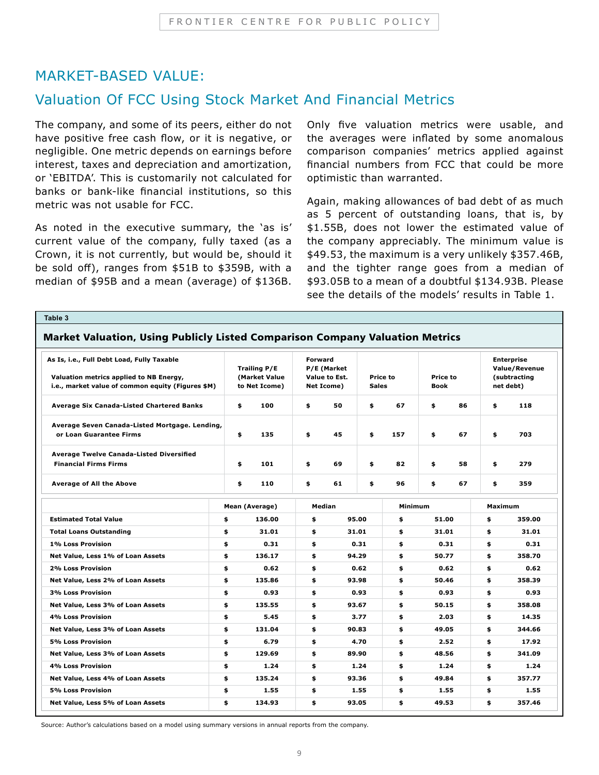#### MARKET-BASED VALUE:

#### Valuation Of FCC Using Stock Market And Financial Metrics

The company, and some of its peers, either do not have positive free cash flow, or it is negative, or negligible. One metric depends on earnings before interest, taxes and depreciation and amortization, or 'EBITDA'. This is customarily not calculated for banks or bank-like financial institutions, so this metric was not usable for FCC.

As noted in the executive summary, the 'as is' current value of the company, fully taxed (as a Crown, it is not currently, but would be, should it be sold off), ranges from \$51B to \$359B, with a median of \$95B and a mean (average) of \$136B.

Only five valuation metrics were usable, and the averages were inflated by some anomalous comparison companies' metrics applied against financial numbers from FCC that could be more optimistic than warranted.

Again, making allowances of bad debt of as much as 5 percent of outstanding loans, that is, by \$1.55B, does not lower the estimated value of the company appreciably. The minimum value is \$49.53, the maximum is a very unlikely \$357.46B, and the tighter range goes from a median of \$93.05B to a mean of a doubtful \$134.93B. Please see the details of the models' results in Table 1.

| Table 3                                                                               |    |                                      |        |                                                |       |                 |                 |                                                    |        |
|---------------------------------------------------------------------------------------|----|--------------------------------------|--------|------------------------------------------------|-------|-----------------|-----------------|----------------------------------------------------|--------|
| Market Valuation, Using Publicly Listed Comparison Company Valuation Metrics          |    |                                      |        |                                                |       |                 |                 |                                                    |        |
| As Is, i.e., Full Debt Load, Fully Taxable<br>Valuation metrics applied to NB Energy, |    | <b>Trailing P/E</b><br>(Market Value |        | <b>Forward</b><br>P/E (Market<br>Value to Est. |       | <b>Price to</b> | <b>Price to</b> | <b>Enterprise</b><br>Value/Revenue<br>(subtracting |        |
| i.e., market value of common equity (Figures \$M)                                     |    | to Net Icome)                        |        | Net Icome)                                     |       | <b>Sales</b>    | <b>Book</b>     | net debt)                                          |        |
| Average Six Canada-Listed Chartered Banks                                             |    | 100<br>\$                            | \$     | 50                                             | \$    | 67              | \$<br>86        | \$                                                 | 118    |
| Average Seven Canada-Listed Mortgage. Lending,                                        |    |                                      |        |                                                |       |                 |                 |                                                    |        |
| or Loan Guarantee Firms                                                               |    | \$<br>135                            | \$     | 45                                             | \$    | 157             | \$<br>67        | \$                                                 | 703    |
| <b>Average Twelve Canada-Listed Diversified</b>                                       |    |                                      |        |                                                |       |                 |                 |                                                    |        |
| <b>Financial Firms Firms</b>                                                          |    | \$<br>101                            | \$     | 69                                             | \$    | 82              | \$<br>58        | \$                                                 | 279    |
| <b>Average of All the Above</b>                                                       |    | \$<br>110                            | \$     | 61                                             | \$    | 96              | \$<br>67        | \$                                                 | 359    |
|                                                                                       |    | Mean (Average)                       | Median |                                                |       | Minimum         |                 | <b>Maximum</b>                                     |        |
| <b>Estimated Total Value</b>                                                          | \$ | 136.00                               | \$     | 95.00                                          |       | \$              | 51.00           |                                                    | 359.00 |
| <b>Total Loans Outstanding</b>                                                        | \$ | 31.01                                | \$     |                                                | 31.01 | \$              | 31.01           | \$                                                 | 31.01  |
| 1% Loss Provision                                                                     | \$ | 0.31                                 | \$     |                                                | 0.31  | \$              | 0.31            | \$                                                 | 0.31   |
| Net Value, Less 1% of Loan Assets                                                     | \$ | 136.17                               | \$     |                                                | 94.29 | \$              | 50.77           | \$                                                 | 358.70 |
| 2% Loss Provision                                                                     | \$ | 0.62                                 | \$     |                                                | 0.62  | \$              | 0.62            | \$                                                 | 0.62   |
| Net Value, Less 2% of Loan Assets                                                     | \$ | 135.86                               | \$     |                                                | 93.98 | \$              | 50.46           | \$                                                 | 358.39 |
| 3% Loss Provision                                                                     | \$ | 0.93                                 | \$     |                                                | 0.93  | \$              | 0.93            | \$                                                 | 0.93   |
| Net Value, Less 3% of Loan Assets                                                     | \$ | 135.55                               | \$     |                                                | 93.67 | \$              | 50.15           | \$                                                 | 358.08 |
| 4% Loss Provision                                                                     | \$ | 5.45                                 | \$     |                                                | 3.77  | \$              | 2.03            | \$                                                 | 14.35  |
| Net Value, Less 3% of Loan Assets                                                     | \$ | 131.04                               | \$     |                                                | 90.83 | \$              | 49.05           | \$                                                 | 344.66 |
| 5% Loss Provision                                                                     | \$ | 6.79                                 | \$     |                                                | 4.70  | \$              | 2.52            | \$                                                 | 17.92  |
| Net Value, Less 3% of Loan Assets                                                     | \$ | 129.69                               | \$     |                                                | 89.90 | \$              | 48.56           | \$                                                 | 341.09 |
| 4% Loss Provision                                                                     | \$ | 1.24                                 | \$     |                                                | 1.24  | \$              | 1.24            | \$                                                 | 1.24   |
| Net Value, Less 4% of Loan Assets                                                     | \$ | 135.24                               | \$     |                                                | 93.36 | \$              | 49.84           | \$                                                 | 357.77 |
| 5% Loss Provision                                                                     | \$ | 1.55                                 | \$     |                                                | 1.55  | \$              | 1.55            | \$                                                 | 1.55   |
| Net Value, Less 5% of Loan Assets                                                     | \$ | 134.93                               | \$     |                                                | 93.05 | \$              | 49.53           | \$                                                 | 357.46 |

Source: Author's calculations based on a model using summary versions in annual reports from the company.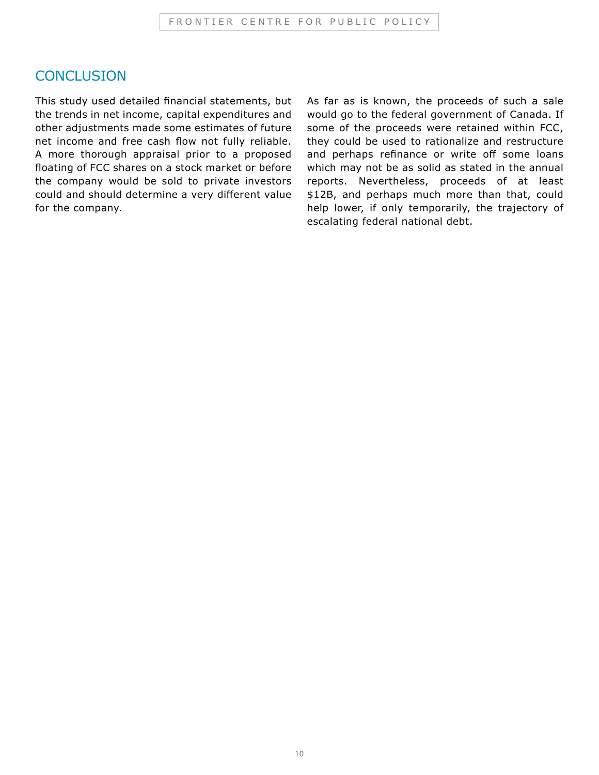#### **CONCLUSION**

This study used detailed financial statements, but the trends in net income, capital expenditures and other adjustments made some estimates of future net income and free cash flow not fully reliable. A more thorough appraisal prior to a proposed floating of FCC shares on a stock market or before the company would be sold to private investors could and should determine a very different value for the company.

As far as is known, the proceeds of such a sale would go to the federal government of Canada. If some of the proceeds were retained within FCC, they could be used to rationalize and restructure and perhaps refinance or write off some loans which may not be as solid as stated in the annual reports. Nevertheless, proceeds of at least \$12B, and perhaps much more than that, could help lower, if only temporarily, the trajectory of escalating federal national debt.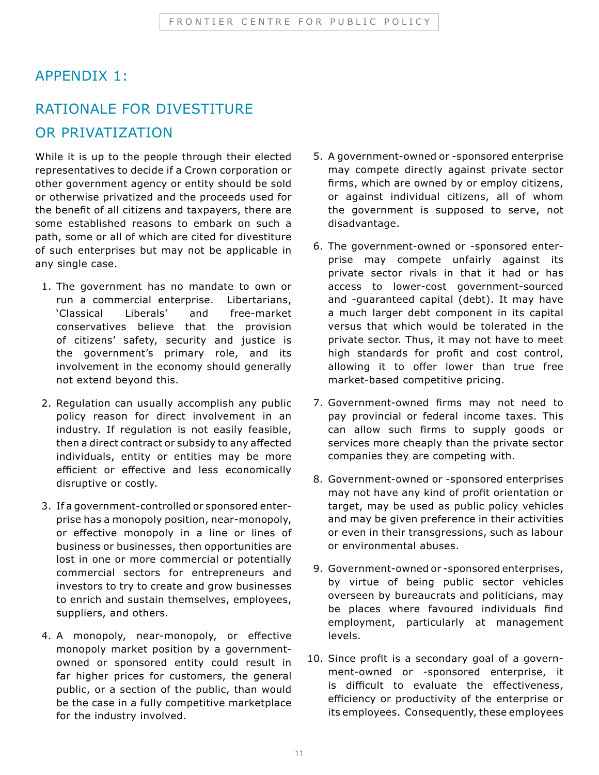#### APPENDIX 1:

### RATIONALE FOR DIVESTITURE OR PRIVATIZATION

While it is up to the people through their elected representatives to decide if a Crown corporation or other government agency or entity should be sold or otherwise privatized and the proceeds used for the benefit of all citizens and taxpayers, there are some established reasons to embark on such a path, some or all of which are cited for divestiture of such enterprises but may not be applicable in any single case.

- 1. The government has no mandate to own or run a commercial enterprise. Libertarians, 'Classical Liberals' and free-market conservatives believe that the provision of citizens' safety, security and justice is the government's primary role, and its involvement in the economy should generally not extend beyond this.
- 2. Regulation can usually accomplish any public policy reason for direct involvement in an industry. If regulation is not easily feasible, then a direct contract or subsidy to any affected individuals, entity or entities may be more efficient or effective and less economically disruptive or costly.
- 3. If a government-controlled or sponsored enterprise has a monopoly position, near-monopoly, or effective monopoly in a line or lines of business or businesses, then opportunities are lost in one or more commercial or potentially commercial sectors for entrepreneurs and investors to try to create and grow businesses to enrich and sustain themselves, employees, suppliers, and others.
- 4. A monopoly, near-monopoly, or effective monopoly market position by a governmentowned or sponsored entity could result in far higher prices for customers, the general public, or a section of the public, than would be the case in a fully competitive marketplace for the industry involved.
- 5. A government-owned or -sponsored enterprise may compete directly against private sector firms, which are owned by or employ citizens, or against individual citizens, all of whom the government is supposed to serve, not disadvantage.
- 6. The government-owned or -sponsored enterprise may compete unfairly against its private sector rivals in that it had or has access to lower-cost government-sourced and -guaranteed capital (debt). It may have a much larger debt component in its capital versus that which would be tolerated in the private sector. Thus, it may not have to meet high standards for profit and cost control, allowing it to offer lower than true free market-based competitive pricing.
- 7. Government-owned firms may not need to pay provincial or federal income taxes. This can allow such firms to supply goods or services more cheaply than the private sector companies they are competing with.
- 8. Government-owned or -sponsored enterprises may not have any kind of profit orientation or target, may be used as public policy vehicles and may be given preference in their activities or even in their transgressions, such as labour or environmental abuses.
- 9. Government-owned or -sponsored enterprises, by virtue of being public sector vehicles overseen by bureaucrats and politicians, may be places where favoured individuals find employment, particularly at management levels.
- 10. Since profit is a secondary goal of a government-owned or -sponsored enterprise, it is difficult to evaluate the effectiveness, efficiency or productivity of the enterprise or its employees. Consequently, these employees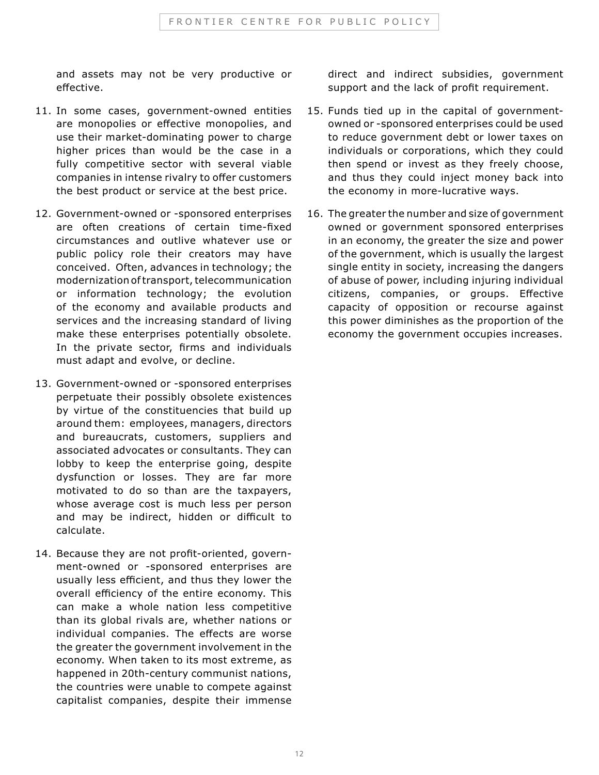and assets may not be very productive or effective.

- 11. In some cases, government-owned entities are monopolies or effective monopolies, and use their market-dominating power to charge higher prices than would be the case in a fully competitive sector with several viable companies in intense rivalry to offer customers the best product or service at the best price.
- 12. Government-owned or -sponsored enterprises are often creations of certain time-fixed circumstances and outlive whatever use or public policy role their creators may have conceived. Often, advances in technology; the modernization of transport, telecommunication or information technology; the evolution of the economy and available products and services and the increasing standard of living make these enterprises potentially obsolete. In the private sector, firms and individuals must adapt and evolve, or decline.
- 13. Government-owned or -sponsored enterprises perpetuate their possibly obsolete existences by virtue of the constituencies that build up around them: employees, managers, directors and bureaucrats, customers, suppliers and associated advocates or consultants. They can lobby to keep the enterprise going, despite dysfunction or losses. They are far more motivated to do so than are the taxpayers, whose average cost is much less per person and may be indirect, hidden or difficult to calculate.
- 14. Because they are not profit-oriented, government-owned or -sponsored enterprises are usually less efficient, and thus they lower the overall efficiency of the entire economy. This can make a whole nation less competitive than its global rivals are, whether nations or individual companies. The effects are worse the greater the government involvement in the economy. When taken to its most extreme, as happened in 20th-century communist nations, the countries were unable to compete against capitalist companies, despite their immense

direct and indirect subsidies, government support and the lack of profit requirement.

- 15. Funds tied up in the capital of governmentowned or -sponsored enterprises could be used to reduce government debt or lower taxes on individuals or corporations, which they could then spend or invest as they freely choose, and thus they could inject money back into the economy in more-lucrative ways.
- 16. The greater the number and size of government owned or government sponsored enterprises in an economy, the greater the size and power of the government, which is usually the largest single entity in society, increasing the dangers of abuse of power, including injuring individual citizens, companies, or groups. Effective capacity of opposition or recourse against this power diminishes as the proportion of the economy the government occupies increases.